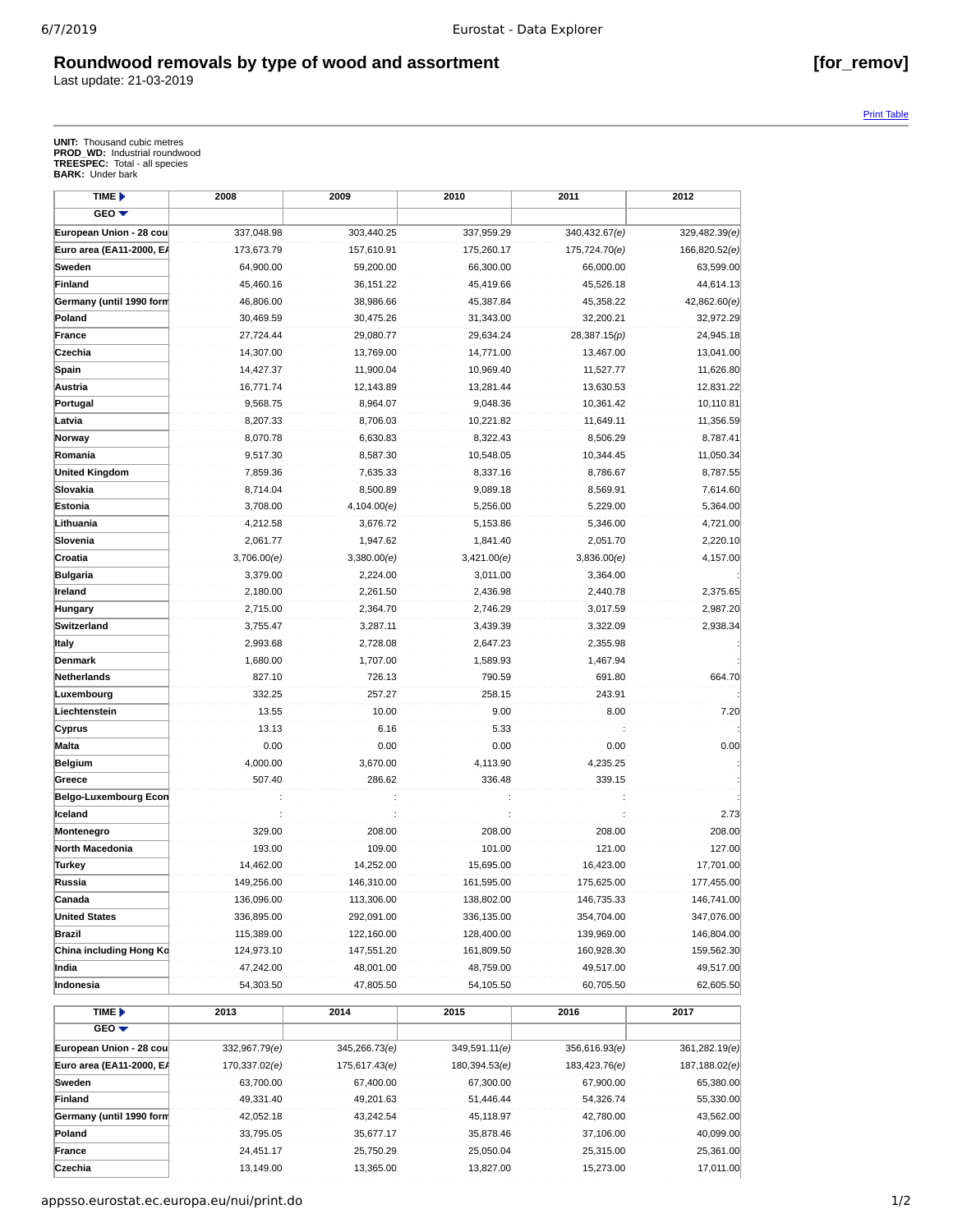## **Roundwood removals by type of wood and assortment [for\_remov]**

Last update: 21-03-2019

Print Table

**UNIT:** Thousand cubic metres **PROD\_WD:** Industrial roundwood **TREESPEC:** Total - all species **BARK:** Under bark

| TIME D                          | 2008          | 2009          | 2010          | 2011          | 2012          |
|---------------------------------|---------------|---------------|---------------|---------------|---------------|
| $GEO -$                         |               |               |               |               |               |
| European Union - 28 cou         | 337,048.98    | 303,440.25    | 337,959.29    | 340,432.67(e) | 329,482.39(e) |
| <b>Euro area (EA11-2000, EA</b> | 173,673.79    | 157,610.91    | 175,260.17    | 175,724.70(e) | 166,820.52(e) |
| Sweden                          | 64,900.00     | 59,200.00     | 66,300.00     | 66,000.00     | 63,599.00     |
| Finland                         | 45,460.16     | 36,151.22     | 45,419.66     | 45,526.18     | 44,614.13     |
| Germany (until 1990 form        | 46,806.00     | 38,986.66     | 45,387.84     | 45,358.22     | 42,862.60(e)  |
| Poland                          | 30,469.59     | 30,475.26     | 31,343.00     | 32,200.21     | 32,972.29     |
| France                          | 27,724.44     | 29,080.77     | 29,634.24     | 28,387.15(p)  | 24,945.18     |
| Czechia                         | 14,307.00     | 13,769.00     | 14,771.00     | 13,467.00     | 13,041.00     |
| Spain                           | 14,427.37     | 11,900.04     | 10,969.40     | 11,527.77     | 11,626.80     |
| Austria                         | 16,771.74     | 12,143.89     | 13,281.44     | 13,630.53     | 12,831.22     |
| Portugal                        | 9,568.75      | 8,964.07      | 9,048.36      | 10,361.42     | 10,110.81     |
| Latvia                          | 8,207.33      | 8,706.03      | 10,221.82     | 11,649.11     | 11,356.59     |
| Norway                          | 8,070.78      | 6,630.83      | 8,322.43      | 8,506.29      | 8,787.41      |
| Romania                         | 9,517.30      | 8,587.30      | 10,548.05     | 10,344.45     | 11,050.34     |
| <b>United Kingdom</b>           | 7,859.36      | 7,635.33      | 8,337.16      | 8,786.67      | 8,787.55      |
| Slovakia                        | 8,714.04      | 8,500.89      | 9,089.18      | 8,569.91      | 7,614.60      |
| Estonia                         | 3,708.00      | 4,104.00(e)   | 5,256.00      | 5,229.00      | 5,364.00      |
| Lithuania                       | 4,212.58      | 3,676.72      | 5,153.86      | 5,346.00      | 4,721.00      |
| Slovenia                        | 2,061.77      | 1,947.62      | 1,841.40      | 2,051.70      | 2,220.10      |
| Croatia                         | 3,706.00(e)   | 3,380.00(e)   | 3,421.00(e)   | 3,836.00(e)   | 4,157.00      |
| Bulgaria                        | 3,379.00      | 2,224.00      | 3,011.00      | 3,364.00      |               |
| Ireland                         | 2,180.00      | 2,261.50      | 2,436.98      | 2,440.78      | 2,375.65      |
| Hungary                         | 2,715.00      | 2,364.70      | 2,746.29      | 3,017.59      | 2,987.20      |
| Switzerland                     | 3,755.47      | 3,287.11      | 3,439.39      | 3,322.09      | 2,938.34      |
| Italy                           | 2,993.68      | 2,728.08      | 2,647.23      | 2,355.98      |               |
| Denmark                         | 1,680.00      | 1,707.00      | 1,589.93      | 1,467.94      |               |
| Netherlands                     | 827.10        | 726.13        | 790.59        | 691.80        | 664.70        |
| Luxembourg                      | 332.25        | 257.27        | 258.15        | 243.91        |               |
| Liechtenstein                   | 13.55         | 10.00         | 9.00          | 8.00          | 7.20          |
| Cyprus                          | 13.13         | 6.16          | 5.33          |               |               |
| Malta                           | 0.00          | 0.00          | 0.00          | 0.00          | 0.00          |
| Belgium                         | 4,000.00      | 3,670.00      | 4,113.90      | 4,235.25      |               |
| Greece                          | 507.40        | 286.62        | 336.48        | 339.15        |               |
| Belgo-Luxembourg Econ           |               |               |               |               |               |
| Iceland                         |               |               |               |               | 2.73          |
| Montenegro                      | 329.00        | 208.00        | 208.00        | 208.00        | 208.00        |
| North Macedonia                 | 193.00        | 109.00        | 101.00        | 121.00        | 127.00        |
| <b>Turkey</b>                   | 14,462.00     | 14,252.00     | 15,695.00     | 16,423.00     | 17,701.00     |
| Russia                          | 149,256.00    | 146,310.00    | 161,595.00    | 175,625.00    | 177,455.00    |
| Canada                          | 136,096.00    | 113,306.00    | 138,802.00    | 146,735.33    | 146,741.00    |
| <b>United States</b>            | 336,895.00    | 292,091.00    | 336,135.00    | 354,704.00    | 347,076.00    |
| <b>Brazil</b>                   | 115,389.00    | 122,160.00    | 128,400.00    | 139,969.00    | 146,804.00    |
| China including Hong Kd         | 124,973.10    | 147,551.20    | 161,809.50    | 160,928.30    | 159,562.30    |
| India                           | 47,242.00     | 48,001.00     | 48,759.00     | 49,517.00     | 49,517.00     |
| Indonesia                       | 54,303.50     | 47,805.50     | 54,105.50     | 60,705.50     | 62,605.50     |
| TIME <sup>&gt;</sup>            | 2013          | 2014          | 2015          | 2016          | 2017          |
| $GEO \blacktriangledown$        |               |               |               |               |               |
| European Union - 28 cou         | 332,967.79(e) | 345,266.73(e) | 349,591.11(e) | 356,616.93(e) | 361,282.19(e) |
| Euro area (EA11-2000, EA        | 170,337.02(e) | 175,617.43(e) | 180,394.53(e) | 183,423.76(e) | 187,188.02(e) |
| Sweden                          | 63,700.00     | 67,400.00     | 67,300.00     | 67,900.00     | 65,380.00     |
| Finland                         | 49,331.40     | 49,201.63     | 51,446.44     | 54,326.74     | 55,330.00     |
| Germany (until 1990 form        | 42,052.18     | 43,242.54     | 45,118.97     | 42,780.00     | 43,562.00     |
| Poland                          | 33,795.05     | 35,677.17     | 35,878.46     | 37,106.00     | 40,099.00     |
| France                          | 24,451.17     | 25,750.29     | 25,050.04     | 25,315.00     | 25,361.00     |

**Czechia** 13,149.00 13,365.00 13,827.00 15,273.00 17,011.00